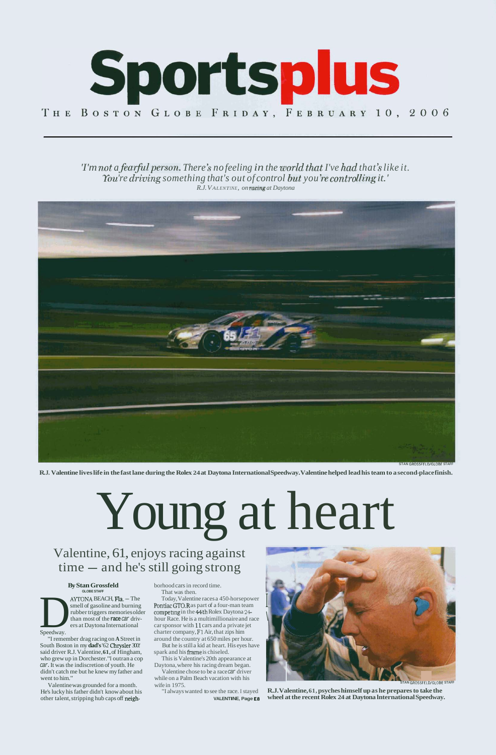

## *'I'm not a fearful person. There's no feeling in the world that I've had that's like it. You're driving something that's out of control but you're controlling it.' R.J. VALENTINE, on ~aCing at Daytona*



**R. J. Valentine lives life in the fast lane during the Rolex 24 at Daytona International Speedway. Valentine helped lead his team to a second-place finish.** 

**AYTONA BEACH, Fla. — The**<br>
smell of gasoline and burning<br>
rubber triggers memories oldd<br>
than most of the **race** car drivers<br>
at Daytona International<br>
Speedway. smell of gasoline and burning rubber triggers memories older than most of the **race** car drivers at Daytona International

Young at heart Valentine, 61, enjoys racing against

# time - and he's still going strong

## **By Stan Grossfeld GLOBE STAFF**



Speedway.

"I remember drag racing on **A** Street in South Boston in my **dad's** '62 Chrysler 300:' said driver R.J. Valentine, **61,** of Hingham, who grew up in Dorchester. "I outran a cop car. It was the indiscretion of youth. He didn't catch me but he knew my father and went to him."

Valentine was grounded for a month. He's lucky his father didn't know about his other talent, stripping hub caps off neighborhood cars in record time. That was then.

Today, Valentine races a 450-horsepower Pontiac GT0.R as part of a four-man team competing in the 44th Rolex Daytona 24hour Race. He is a multimillionaire and race car sponsor with 11 cars and a private jet charter company, **F1** Air, that zips him around the country at 650 miles per hour. But he is still a kid at heart. His eyes have spark and his frame is chiseled.



This is Valentine's 20th appearance at Daytona, where his racing dream began. Valentine chose to be a race car driver while on a Palm Beach vacation with his wife in 1975. **STAN GROSSFELD/GLOBE STAFF** 

"I always wanted to see the race. I stayed **R.J. Valentine, 61, psyches himself up as he prepares to take the VALENTINE, Page ES wheel at the recent Rolex 24 at Daytona lnternational Speedway.**